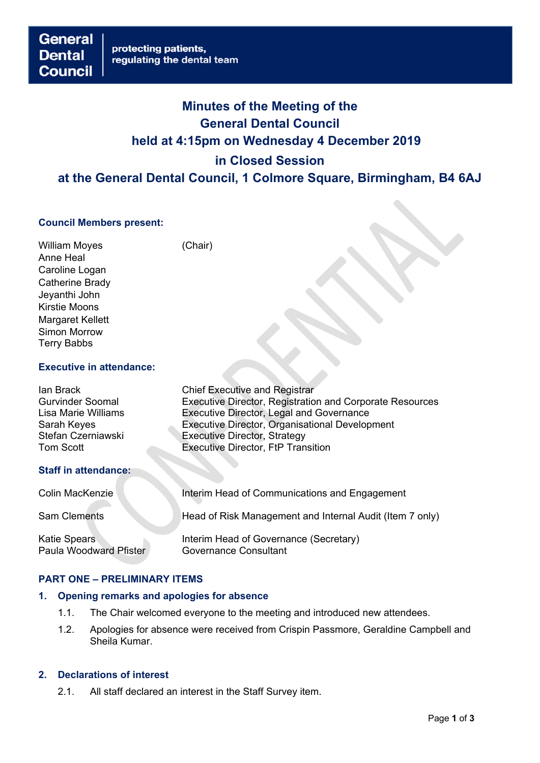# **Minutes of the Meeting of the General Dental Council held at 4:15pm on Wednesday 4 December 2019 in Closed Session at the General Dental Council, 1 Colmore Square, Birmingham, B4 6AJ**

# **Council Members present:**

William Moyes (Chair) Anne Heal Caroline Logan Catherine Brady Jeyanthi John Kirstie Moons Margaret Kellett Simon Morrow Terry Babbs

**Council** 

**Dental** 

## **Executive in attendance:**

| lan Brack<br><b>Gurvinder Soomal</b><br>Lisa Marie Williams<br>Sarah Keyes<br>Stefan Czerniawski<br><b>Tom Scott</b> | <b>Chief Executive and Registrar</b><br>Executive Director, Registration and Corporate Resources<br><b>Executive Director, Legal and Governance</b><br>Executive Director, Organisational Development<br><b>Executive Director, Strategy</b><br><b>Executive Director, FtP Transition</b> |
|----------------------------------------------------------------------------------------------------------------------|-------------------------------------------------------------------------------------------------------------------------------------------------------------------------------------------------------------------------------------------------------------------------------------------|
| <b>Staff in attendance:</b>                                                                                          |                                                                                                                                                                                                                                                                                           |
| Colin MacKenzie                                                                                                      | Interim Head of Communications and Engagement                                                                                                                                                                                                                                             |
| <b>Sam Clements</b>                                                                                                  | Head of Risk Management and Internal Audit (Item 7 only)                                                                                                                                                                                                                                  |
| <b>Katie Spears</b><br><b>Paula Woodward Pfister</b>                                                                 | Interim Head of Governance (Secretary)<br><b>Governance Consultant</b>                                                                                                                                                                                                                    |

## **PART ONE – PRELIMINARY ITEMS**

#### **1. Opening remarks and apologies for absence**

- 1.1. The Chair welcomed everyone to the meeting and introduced new attendees.
- 1.2. Apologies for absence were received from Crispin Passmore, Geraldine Campbell and Sheila Kumar.

# **2. Declarations of interest**

2.1. All staff declared an interest in the Staff Survey item.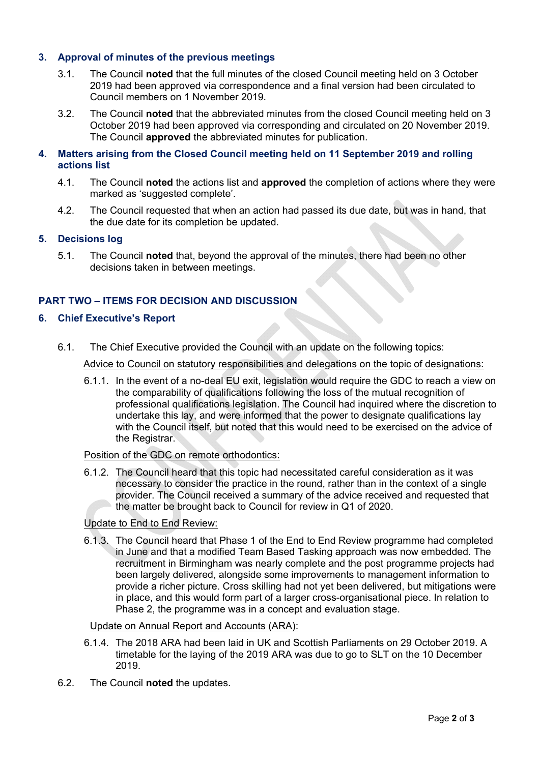# **3. Approval of minutes of the previous meetings**

- 3.1. The Council **noted** that the full minutes of the closed Council meeting held on 3 October 2019 had been approved via correspondence and a final version had been circulated to Council members on 1 November 2019.
- 3.2. The Council **noted** that the abbreviated minutes from the closed Council meeting held on 3 October 2019 had been approved via corresponding and circulated on 20 November 2019. The Council **approved** the abbreviated minutes for publication.

## **4. Matters arising from the Closed Council meeting held on 11 September 2019 and rolling actions list**

- 4.1. The Council **noted** the actions list and **approved** the completion of actions where they were marked as 'suggested complete'.
- 4.2. The Council requested that when an action had passed its due date, but was in hand, that the due date for its completion be updated.

## **5. Decisions log**

5.1. The Council **noted** that, beyond the approval of the minutes, there had been no other decisions taken in between meetings.

## **PART TWO – ITEMS FOR DECISION AND DISCUSSION**

## **6. Chief Executive's Report**

6.1. The Chief Executive provided the Council with an update on the following topics:

Advice to Council on statutory responsibilities and delegations on the topic of designations:

6.1.1. In the event of a no-deal EU exit, legislation would require the GDC to reach a view on the comparability of qualifications following the loss of the mutual recognition of professional qualifications legislation. The Council had inquired where the discretion to undertake this lay, and were informed that the power to designate qualifications lay with the Council itself, but noted that this would need to be exercised on the advice of the Registrar.

# Position of the GDC on remote orthodontics:

6.1.2. The Council heard that this topic had necessitated careful consideration as it was necessary to consider the practice in the round, rather than in the context of a single provider. The Council received a summary of the advice received and requested that the matter be brought back to Council for review in Q1 of 2020.

#### Update to End to End Review:

6.1.3. The Council heard that Phase 1 of the End to End Review programme had completed in June and that a modified Team Based Tasking approach was now embedded. The recruitment in Birmingham was nearly complete and the post programme projects had been largely delivered, alongside some improvements to management information to provide a richer picture. Cross skilling had not yet been delivered, but mitigations were in place, and this would form part of a larger cross-organisational piece. In relation to Phase 2, the programme was in a concept and evaluation stage.

#### Update on Annual Report and Accounts (ARA):

- 6.1.4. The 2018 ARA had been laid in UK and Scottish Parliaments on 29 October 2019. A timetable for the laying of the 2019 ARA was due to go to SLT on the 10 December 2019.
- 6.2. The Council **noted** the updates.